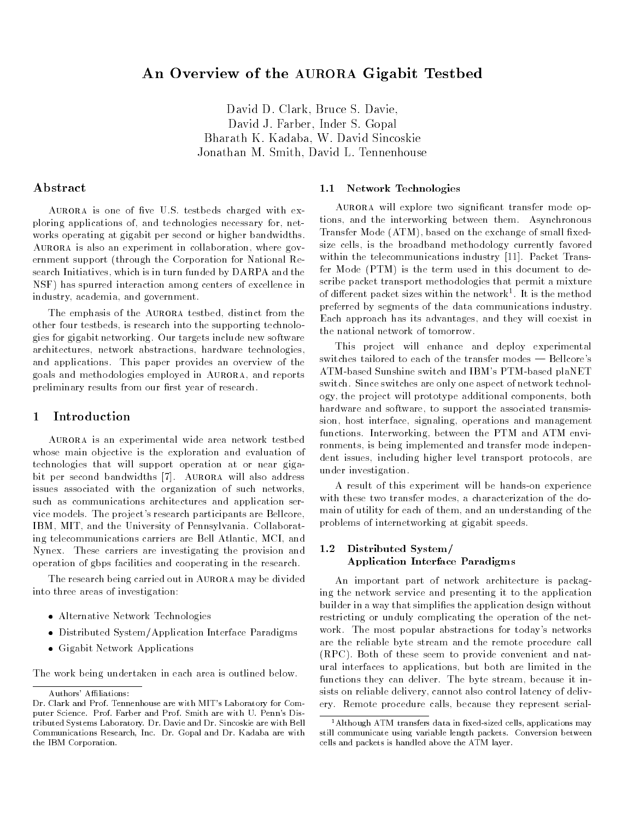# An Overview of the AURORA Gigabit Testbed

David D. Clark, Bruce S. Davie, David J. Farber, Inder S. Gopal Bharath K. Kadaba, W. David Sincoskie Jonathan M. Smith, David L. Tennenhouse

## Abstract

AURORA is one of five U.S. testbeds charged with exploring applications of, and technologies necessary for, networks operating at gigabit per second or higher bandwidths. Aurora is also an experiment in collaboration, where government support (through the Corporation for National Research Initiatives, which is in turn funded by DARPA and the NSF) has spurred interaction among centers of excellence in industry, academia, and government.

The emphasis of the AURORA testbed, distinct from the other four testbeds, is research into the supporting technologies for gigabit networking. Our targets include new software architectures, network abstractions, hardware technologies, and applications. This paper provides an overview of the goals and methodologies employed in Aurora, and reports preliminary results from our first year of research.

### 1 Introduction

Aurora is an experimental wide area network testbed whose main objective is the exploration and evaluation of technologies that will support operation at or near gigabit per second bandwidths [7]. AURORA will also address issues associated with the organization of such networks, such as communications architectures and application service models. The project's research participants are Bellcore, IBM, MIT, and the University of Pennsylvania. Collaborating telecommunications carriers are Bell Atlantic, MCI, and Nynex. These carriers are investigating the provision and operation of gbps facilities and cooperating in the research.

The research being carried out in AURORA may be divided into three areas of investigation:

- Alternative Network Technologies
- Distributed System/Application Interface Paradigms
- Gigabit Network Applications

The work being undertaken in each area is outlined below.

#### 1.1 Network Technologies

Aurora will explore two signicant transfer mode options, and the interworking between them. Asynchronous Transfer Mode (ATM), based on the exchange of small fixedsize cells, is the broadband methodology currently favored within the telecommunications industry [11]. Packet Transfer Mode (PTM) is the term used in this document to describe packet transport methodologies that permit a mixture of different packet sizes within the network<sup>1</sup>. It is the method preferred by segments of the data communications industry. Each approach has its advantages, and they will coexist in the national network of tomorrow.

This project will enhance and deploy experimental switches tailored to each of the transfer modes - Bellcore's ATM-based Sunshine switch and IBM's PTM-based plaNET switch. Since switches are only one aspect of network technology, the project will prototype additional components, both hardware and software, to support the associated transmission, host interface, signaling, operations and management functions. Interworking, between the PTM and ATM environments, is being implemented and transfer mode independent issues, including higher level transport protocols, are under investigation.

A result of this experiment will be hands-on experience with these two transfer modes, a characterization of the domain of utility for each of them, and an understanding of the problems of internetworking at gigabit speeds.

### 1.2 Distributed System/ Application Interface Paradigms

An important part of network architecture is packaging the network service and presenting it to the application builder in a way that simplifies the application design without restricting or unduly complicating the operation of the network. The most popular abstractions for today's networks are the reliable byte stream and the remote procedure call (RPC). Both of these seem to provide convenient and natural interfaces to applications, but both are limited in the functions they can deliver. The byte stream, because it insists on reliable delivery, cannot also control latency of delivery. Remote procedure calls, because they represent serial-

Authors' Affiliations:

Dr. Clark and Prof. Tennenhouse are with MIT's Laboratory for Computer Science. Prof. Farber and Prof. Smith are with U. Penn's Distributed Systems Laboratory. Dr. Davie and Dr. Sincoskie are with Bell Communications Research, Inc. Dr. Gopal and Dr. Kadaba are with the IBM Corporation.

 $1$ Although ATM transfers data in fixed-sized cells, applications may still communicate using variable length packets. Conversion between cells and packets is handled above the ATM layer.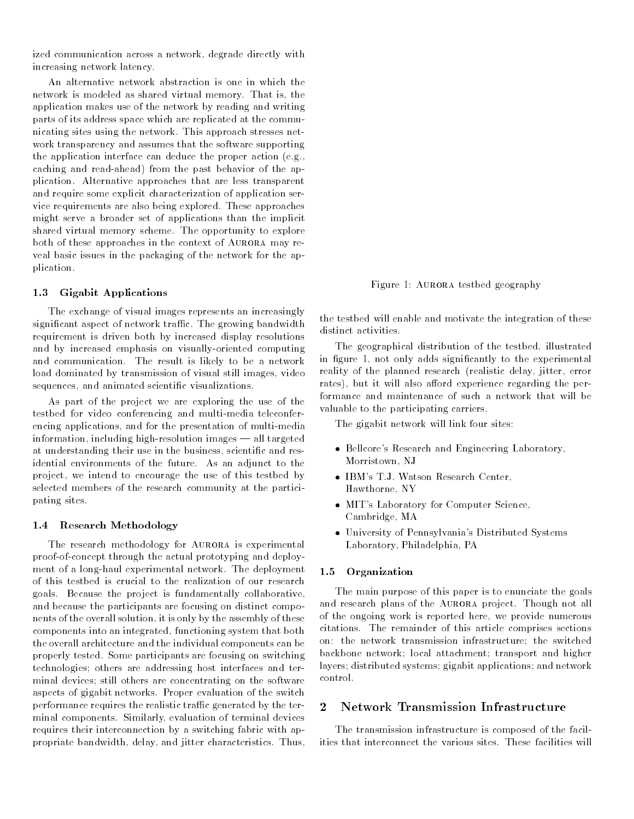ized communication across a network, degrade directly with increasing network latency.

An alternative network abstraction is one in which the network is modeled as shared virtual memory. That is, the application makes use of the network by reading and writing parts of its address space which are replicated at the communicating sites using the network. This approach stresses network transparency and assumes that the software supporting the application interface can deduce the proper action (e.g., caching and read-ahead) from the past behavior of the application. Alternative approaches that are less transparent and require some explicit characterization of application service requirements are also being explored. These approaches might serve a broader set of applications than the implicit shared virtual memory scheme. The opportunity to explore both of these approaches in the context of AURORA may reveal basic issues in the packaging of the network for the application.

#### 1.3 Gigabit Applications

The exchange of visual images represents an increasingly significant aspect of network traffic. The growing bandwidth requirement is driven both by increased display resolutions and by increased emphasis on visually-oriented computing and communication. The result is likely to be a network load dominated by transmission of visual still images, video sequences, and animated scientific visualizations.

As part of the project we are exploring the use of the testbed for video conferencing and multi-media teleconferencing applications, and for the presentation of multi-media information, including high-resolution images  $-$  all targeted at understanding their use in the business, scientific and residential environments of the future. As an adjunct to the project, we intend to encourage the use of this testbed by selected members of the research community at the participating sites.

#### 1.4 Research Methodology

The research methodology for AURORA is experimental proof-of-concept through the actual prototyping and deployment of a long-haul experimental network. The deployment of this testbed is crucial to the realization of our research goals. Because the project is fundamentally collaborative, and because the participants are focusing on distinct components of the overall solution, it is only by the assembly of these components into an integrated, functioning system that both the overall architecture and the individual components can be properly tested. Some participants are focusing on switching technologies; others are addressing host interfaces and terminal devices; still others are concentrating on the software aspects of gigabit networks. Proper evaluation of the switch performance requires the realistic traffic generated by the terminal components. Similarly, evaluation of terminal devices requires their interconnection by a switching fabric with appropriate bandwidth, delay, and jitter characteristics. Thus,

Figure 1: AURORA testbed geography

the testbed will enable and motivate the integration of these distinct activities.

The geographical distribution of the testbed, illustrated in figure 1, not only adds significantly to the experimental reality of the planned research (realistic delay, jitter, error rates), but it will also afford experience regarding the performance and maintenance of such a network that will be valuable to the participating carriers.

The gigabit network will link four sites:

- Bellcore's Research and Engineering Laboratory, Morristown, NJ
- IBM's T.J. Watson Research Center, Hawthorne, NY
- MIT's Laboratory for Computer Science, Cambridge, MA
- University of Pennsylvania's Distributed Systems Laboratory, Philadelphia, PA

#### 1.5 Organization

The main purpose of this paper is to enunciate the goals and research plans of the AURORA project. Though not all of the ongoing work is reported here, we provide numerous citations. The remainder of this article comprises sections on: the network transmission infrastructure; the switched backbone network; local attachment; transport and higher layers; distributed systems; gigabit applications; and network control.

## 2 Network Transmission Infrastructure

The transmission infrastructure is composed of the facilities that interconnect the various sites. These facilities will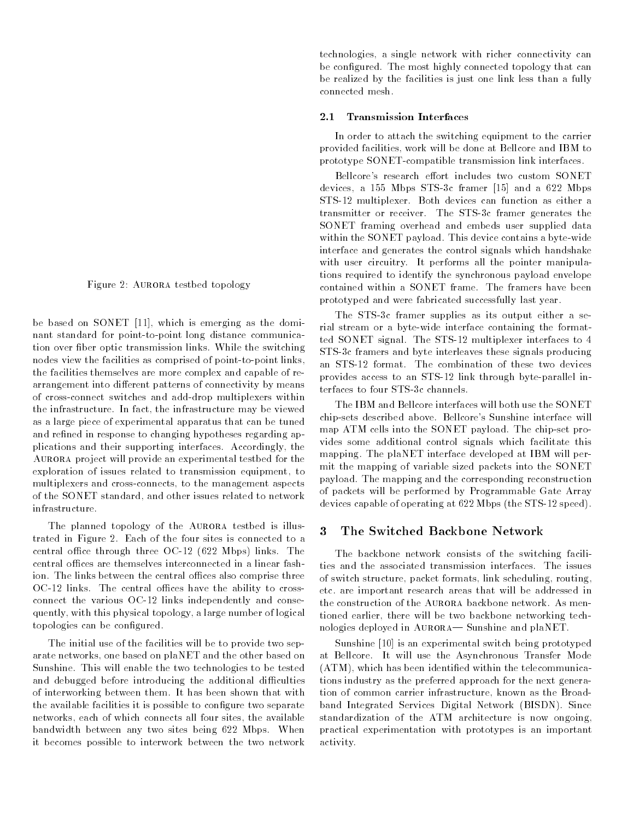

be based on SONET [11], which is emerging as the dominant standard for point-to-point long distance communication over fiber optic transmission links. While the switching nodes view the facilities as comprised of point-to-point links, the facilities themselves are more complex and capable of rearrangement into different patterns of connectivity by means of cross-connect switches and add-drop multiplexers within the infrastructure. In fact, the infrastructure may be viewed as a large piece of experimental apparatus that can be tuned and refined in response to changing hypotheses regarding applications and their supporting interfaces. Accordingly, the Aurora project will provide an experimental testbed for the exploration of issues related to transmission equipment, to multiplexers and cross-connects, to the management aspects of the SONET standard, and other issues related to network infrastructure.

The planned topology of the AURORA testbed is illustrated in Figure 2. Each of the four sites is connected to a central office through three  $OC-12$  (622 Mbps) links. The central offices are themselves interconnected in a linear fashion. The links between the central offices also comprise three  $OC-12$  links. The central offices have the ability to crossconnect the various OC-12 links independently and consequently, with this physical topology, a large number of logical topologies can be configured.

The initial use of the facilities will be to provide two separate networks, one based on plaNET and the other based on Sunshine. This will enable the two technologies to be tested and debugged before introducing the additional difficulties of interworking between them. It has been shown that with the available facilities it is possible to configure two separate networks, each of which connects all four sites, the available bandwidth between any two sites being 622 Mbps. When it becomes possible to interwork between the two network technologies, a single network with richer connectivity can be configured. The most highly connected topology that can be realized by the facilities is just one link less than a fully connected mesh.

#### 2.1 Transmission Interfaces

In order to attach the switching equipment to the carrier provided facilities, work will be done at Bellcore and IBM to prototype SONET-compatible transmission link interfaces.

Bellcore's research effort includes two custom SONET devices, a 155 Mbps STS-3c framer [15] and a 622 Mbps STS-12 multiplexer. Both devices can function as either a transmitter or receiver. The STS-3c framer generates the SONET framing overhead and embeds user supplied data within the SONET payload. This device contains a byte-wide interface and generates the control signals which handshake with user circuitry. It performs all the pointer manipulations required to identify the synchronous payload envelope contained within a SONET frame. The framers have been prototyped and were fabricated successfully last year.

The STS-3c framer supplies as its output either a serial stream or a byte-wide interface containing the formatted SONET signal. The STS-12 multiplexer interfaces to 4 STS-3c framers and byte interleaves these signals producing an STS-12 format. The combination of these two devices provides access to an STS-12 link through byte-parallel interfaces to four STS-3c channels.

The IBM and Bellcore interfaces will both use the SONET chip-sets described above. Bellcore's Sunshine interface will map ATM cells into the SONET payload. The chip-set provides some additional control signals which facilitate this mapping. The plaNET interface developed at IBM will permit the mapping of variable sized packets into the SONET payload. The mapping and the corresponding reconstruction of packets will be performed by Programmable Gate Array devices capable of operating at 622 Mbps (the STS-12 speed).

### 3 The Switched Backbone Network

The backbone network consists of the switching facilities and the associated transmission interfaces. The issues of switch structure, packet formats, link scheduling, routing, etc. are important research areas that will be addressed in the construction of the AURORA backbone network. As mentioned earlier, there will be two backbone networking technologies deployed in AURORA— Sunshine and plaNET.

Sunshine [10] is an experimental switch being prototyped at Bellcore. It will use the Asynchronous Transfer Mode (ATM), which has been identied within the telecommunications industry as the preferred approach for the next generation of common carrier infrastructure, known as the Broadband Integrated Services Digital Network (BISDN). Since standardization of the ATM architecture is now ongoing, practical experimentation with prototypes is an important activity.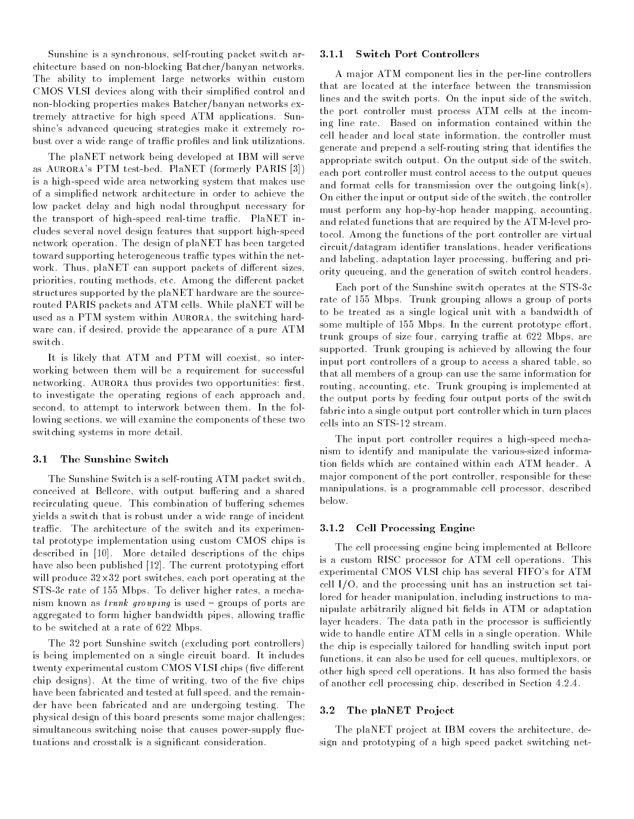Sunshine is a synchronous, self-routing packet switch architecture based on non-blocking Batcher/banyan networks. The ability to implement large networks within custom CMOS VLSI devices along with their simplied control and non-blocking properties makes Batcher/banyan networks extremely attractive for high speed ATM applications. Sunshine's advanced queueing strategies make it extremely robust over a wide range of traffic profiles and link utilizations.

The plaNET network being developed at IBM will serve as Aurora's PTM test-bed. PlaNET (formerly PARIS [3]) is a high-speed wide area networking system that makes use of a simplied network architecture in order to achieve the low packet delay and high nodal throughput necessary for the transport of high-speed real-time traffic. PlaNET includes several novel design features that support high-speed network operation. The design of plaNET has been targeted toward supporting heterogeneous traffic types within the network. Thus, plaNET can support packets of different sizes, priorities, routing methods, etc. Among the different packet structures supported by the plaNET hardware are the sourcerouted PARIS packets and ATM cells. While plaNET will be used as a PTM system within AURORA, the switching hardware can, if desired, provide the appearance of a pure ATM switch.

It is likely that ATM and PTM will coexist, so interworking between them will be a requirement for successful networking. AURORA thus provides two opportunities: first, to investigate the operating regions of each approach and, second, to attempt to interwork between them. In the following sections, we will examine the components of these two switching systems in more detail.

#### 3.1 The Sunshine Switch

The Sunshine Switch is a self-routing ATM packet switch, conceived at Bellcore, with output buffering and a shared recirculating queue. This combination of buffering schemes yields a switch that is robust under a wide range of incident traffic. The architecture of the switch and its experimental prototype implementation using custom CMOS chips is described in [10]. More detailed descriptions of the chips have also been published  $[12]$ . The current prototyping effort will produce  $32 \times 32$  port switches, each port operating at the STS-3c rate of 155 Mbps. To deliver higher rates, a mechanism known as *trunk grouping* is used  $=$  groups of ports are aggregated to form higher bandwidth pipes, allowing traffic to be switched at a rate of 622 Mbps.

The 32 port Sunshine switch (excluding port controllers) is being implemented on a single circuit board. It includes twenty experimental custom CMOS VLSI chips (five different chip designs). At the time of writing, two of the five chips have been fabricated and tested at full speed, and the remainder have been fabricated and are undergoing testing. The physical design of this board presents some major challenges; simultaneous switching noise that causes power-supply fluctuations and crosstalk is a signicant consideration.

#### 3.1.1 Switch Port Controllers

A major ATM component lies in the per-line controllers that are located at the interface between the transmission lines and the switch ports. On the input side of the switch, the port controller must process ATM cells at the incoming line rate. Based on information contained within the cell header and local state information, the controller must generate and prepend a self-routing string that identifies the appropriate switch output. On the output side of the switch, each port controller must control access to the output queues and format cells for transmission over the outgoing link(s). On either the input or output side of the switch, the controller must perform any hop-by-hop header mapping, accounting, and related functions that are required by the ATM-level protocol. Among the functions of the port controller are virtual circuit/datagram identifier translations, header verifications and labeling, adaptation layer processing, buffering and priority queueing, and the generation of switch control headers.

Each port of the Sunshine switch operates at the STS-3c rate of 155 Mbps. Trunk grouping allows a group of ports to be treated as a single logical unit with a bandwidth of some multiple of 155 Mbps. In the current prototype effort, trunk groups of size four, carrying traffic at 622 Mbps, are supported. Trunk grouping is achieved by allowing the four input port controllers of a group to access a shared table, so that all members of a group can use the same information for routing, accounting, etc. Trunk grouping is implemented at the output ports by feeding four output ports of the switch fabric into a single output port controller which in turn places cells into an STS-12 stream.

The input port controller requires a high-speed mechanism to identify and manipulate the various-sized information fields which are contained within each ATM header. A major component of the port controller, responsible for these manipulations, is a programmable cell processor, described below.

#### 3.1.2 Cell Processing Engine

The cell processing engine being implemented at Bellcore is a custom RISC processor for ATM cell operations. This experimental CMOS VLSI chip has several FIFO's for ATM cell I/O, and the processing unit has an instruction set tailored for header manipulation, including instructions to manipulate arbitrarily aligned bit fields in ATM or adaptation layer headers. The data path in the processor is sufficiently wide to handle entire ATM cells in a single operation. While the chip is especially tailored for handling switch input port functions, it can also be used for cell queues, multiplexors, or other high speed cell operations. It has also formed the basis of another cell processing chip, described in Section 4.2.4.

#### 3.2 The plaNET Project

The plaNET project at IBM covers the architecture, design and prototyping of a high speed packet switching net-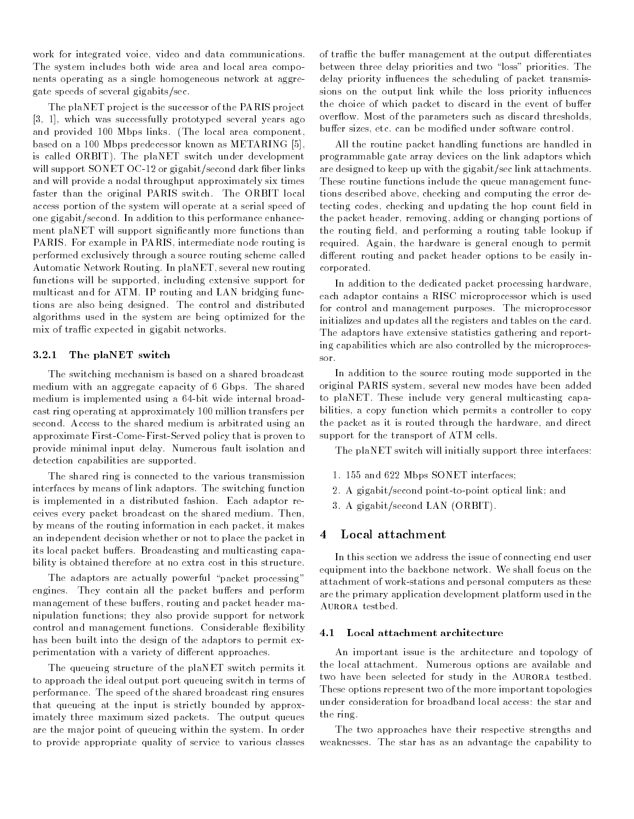work for integrated voice, video and data communications. The system includes both wide area and local area components operating as a single homogeneous network at aggregate speeds of several gigabits/sec.

The plaNET project is the successor of the PARIS project [3, 1], which was successfully prototyped several years ago and provided 100 Mbps links. (The local area component, based on a 100 Mbps predecessor known as METARING [5], is called ORBIT). The plaNET switch under development will support SONET OC-12 or gigabit/second dark fiber links and will provide a nodal throughput approximately six times faster than the original PARIS switch. The ORBIT local access portion of the system will operate at a serial speed of one gigabit/second. In addition to this performance enhancement plaNET will support signicantly more functions than PARIS. For example in PARIS, intermediate node routing is performed exclusively through a source routing scheme called Automatic Network Routing. In plaNET, several new routing functions will be supported, including extensive support for multicast and for ATM. IP routing and LAN bridging functions are also being designed. The control and distributed algorithms used in the system are being optimized for the mix of traffic expected in gigabit networks.

#### 3.2.1 The plaNET switch

The switching mechanism is based on a shared broadcast medium with an aggregate capacity of 6 Gbps. The shared medium is implemented using a 64-bit wide internal broadcast ring operating at approximately 100 million transfers per second. Access to the shared medium is arbitrated using an approximate First-Come-First-Served policy that is proven to provide minimal input delay. Numerous fault isolation and detection capabilities are supported.

The shared ring is connected to the various transmission interfaces by means of link adaptors. The switching function is implemented in a distributed fashion. Each adaptor receives every packet broadcast on the shared medium. Then, by means of the routing information in each packet, it makes an independent decision whether or not to place the packet in its local packet buffers. Broadcasting and multicasting capability is obtained therefore at no extra cost in this structure.

The adaptors are actually powerful "packet processing" engines. They contain all the packet buffers and perform management of these buffers, routing and packet header manipulation functions; they also provide support for network control and management functions. Considerable flexibility has been built into the design of the adaptors to permit experimentation with a variety of different approaches.

The queueing structure of the plaNET switch permits it to approach the ideal output port queueing switch in terms of performance. The speed of the shared broadcast ring ensures that queueing at the input is strictly bounded by approximately three maximum sized packets. The output queues are the major point of queueing within the system. In order to provide appropriate quality of service to various classes

of traffic the buffer management at the output differentiates between three delay priorities and two "loss" priorities. The delay priority influences the scheduling of packet transmissions on the output link while the loss priority influences the choice of which packet to discard in the event of buffer overflow. Most of the parameters such as discard thresholds, buffer sizes, etc. can be modified under software control.

All the routine packet handling functions are handled in programmable gate array devices on the link adaptors which are designed to keep up with the gigabit/sec link attachments. These routine functions include the queue management functions described above, checking and computing the error detecting codes, checking and updating the hop count field in the packet header, removing, adding or changing portions of the routing field, and performing a routing table lookup if required. Again, the hardware is general enough to permit different routing and packet header options to be easily incorporated.

In addition to the dedicated packet processing hardware, each adaptor contains a RISC microprocessor which is used for control and management purposes. The microprocessor initializes and updates all the registers and tables on the card. The adaptors have extensive statistics gathering and reporting capabilities which are also controlled by the microprocessor.

In addition to the source routing mode supported in the original PARIS system, several new modes have been added to plaNET. These include very general multicasting capabilities, a copy function which permits a controller to copy the packet as it is routed through the hardware, and direct support for the transport of ATM cells.

The plaNET switch will initially support three interfaces:

- 1. 155 and 622 Mbps SONET interfaces;
- 2. A gigabit/second point-to-point optical link; and
- 3. A gigabit/second LAN (ORBIT).

## 4 Local attachment

In this section we address the issue of connecting end user equipment into the backbone network. We shall focus on the attachment of work-stations and personal computers as these are the primary application development platform used in the AURORA testbed.

#### 4.1 Local attachment architecture

An important issue is the architecture and topology of the local attachment. Numerous options are available and two have been selected for study in the AURORA testbed. These options represent two of the more important topologies under consideration for broadband local access: the star and the ring.

The two approaches have their respective strengths and weaknesses. The star has as an advantage the capability to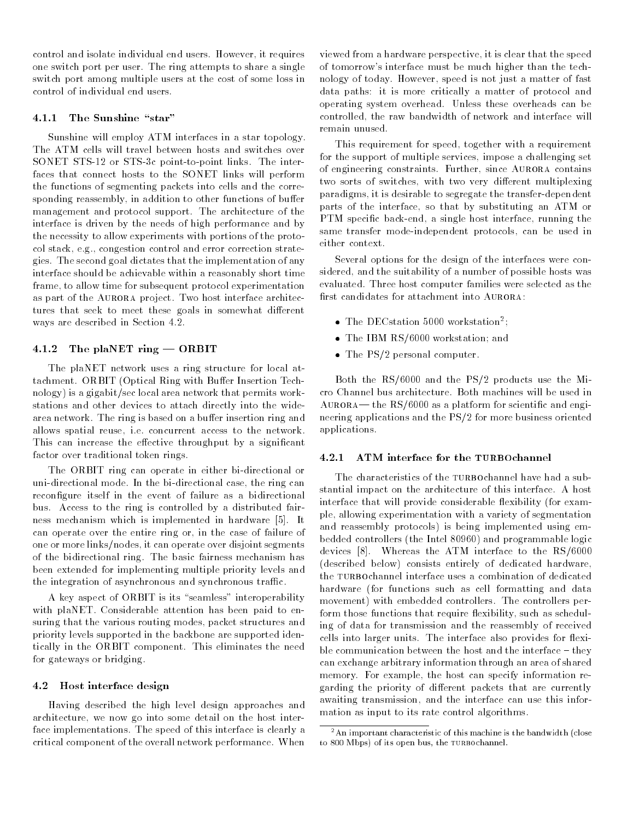control and isolate individual end users. However, it requires one switch port per user. The ring attempts to share a single switch port among multiple users at the cost of some loss in control of individual end users.

#### $4.1.1$  The Sunshine "star"

Sunshine will employ ATM interfaces in a star topology. The ATM cells will travel between hosts and switches over SONET STS-12 or STS-3c point-to-point links. The interfaces that connect hosts to the SONET links will perform the functions of segmenting packets into cells and the corresponding reassembly, in addition to other functions of buffer management and protocol support. The architecture of the interface is driven by the needs of high performance and by the necessity to allow experiments with portions of the protocol stack, e.g., congestion control and error correction strategies. The second goal dictates that the implementation of any interface should be achievable within a reasonably short time frame, to allow time for subsequent protocol experimentation as part of the AURORA project. Two host interface architectures that seek to meet these goals in somewhat different ways are described in Section 4.2.

#### 4.1.2 The plaNET ring  $-$  ORBIT

The plaNET network uses a ring structure for local attachment. ORBIT (Optical Ring with Buffer Insertion Technology) is a gigabit/sec local area network that permits workstations and other devices to attach directly into the widearea network. The ring is based on a buffer insertion ring and allows spatial reuse, i.e. concurrent access to the network. This can increase the effective throughput by a significant factor over traditional token rings.

The ORBIT ring can operate in either bi-directional or uni-directional mode. In the bi-directional case, the ring can reconfigure itself in the event of failure as a bidirectional bus. Access to the ring is controlled by a distributed fairness mechanism which is implemented in hardware [5]. It can operate over the entire ring or, in the case of failure of one or more links/nodes, it can operate over disjoint segments of the bidirectional ring. The basic fairness mechanism has been extended for implementing multiple priority levels and the integration of asynchronous and synchronous traffic.

A key aspect of ORBIT is its "seamless" interoperability with plaNET. Considerable attention has been paid to ensuring that the various routing modes, packet structures and priority levels supported in the backbone are supported identically in the ORBIT component. This eliminates the need for gateways or bridging.

#### 4.2 Host interface design

Having described the high level design approaches and architecture, we now go into some detail on the host interface implementations. The speed of this interface is clearly a critical component of the overall network performance. When

viewed from a hardware perspective, it is clear that the speed of tomorrow's interface must be much higher than the technology of today. However, speed is not just a matter of fast data paths: it is more critically a matter of protocol and operating system overhead. Unless these overheads can be controlled, the raw bandwidth of network and interface will remain unused.

This requirement for speed, together with a requirement for the support of multiple services, impose a challenging set of engineering constraints. Further, since Aurora contains two sorts of switches, with two very different multiplexing paradigms, it is desirable to segregate the transfer-dependent parts of the interface, so that by substituting an ATM or PTM specic back-end, a single host interface, running the same transfer mode-independent protocols, can be used in either context.

Several options for the design of the interfaces were considered, and the suitability of a number of possible hosts was evaluated. Three host computer families were selected as the first candidates for attachment into AURORA:

- The DECstation 5000 workstation<sup>2</sup>;
- The IBM RS/6000 workstation; and
- The PS/2 personal computer.

Both the RS/6000 and the PS/2 products use the Micro Channel bus architecture. Both machines will be used in AURORA— the  $RS/6000$  as a platform for scientific and engineering applications and the PS/2 for more business oriented applications.

#### 4.2.1 ATM interface for the TURBOchannel

The characteristics of the TURBOchannel have had a substantial impact on the architecture of this interface. A host interface that will provide considerable flexibility (for example, allowing experimentation with a variety of segmentation and reassembly protocols) is being implemented using embedded controllers (the Intel 80960) and programmable logic devices [8]. Whereas the ATM interface to the RS/6000 (described below) consists entirely of dedicated hardware, the TURBOchannel interface uses a combination of dedicated hardware (for functions such as cell formatting and data movement) with embedded controllers. The controllers perform those functions that require flexibility, such as scheduling of data for transmission and the reassembly of received cells into larger units. The interface also provides for flexible communication between the host and the interface  $-$  they can exchange arbitrary information through an area of shared memory. For example, the host can specify information regarding the priority of different packets that are currently awaiting transmission, and the interface can use this information as input to its rate control algorithms.

 $2$ An important characteristic of this machine is the bandwidth (close to 800 Mbps) of its open bus, the TURBOchannel.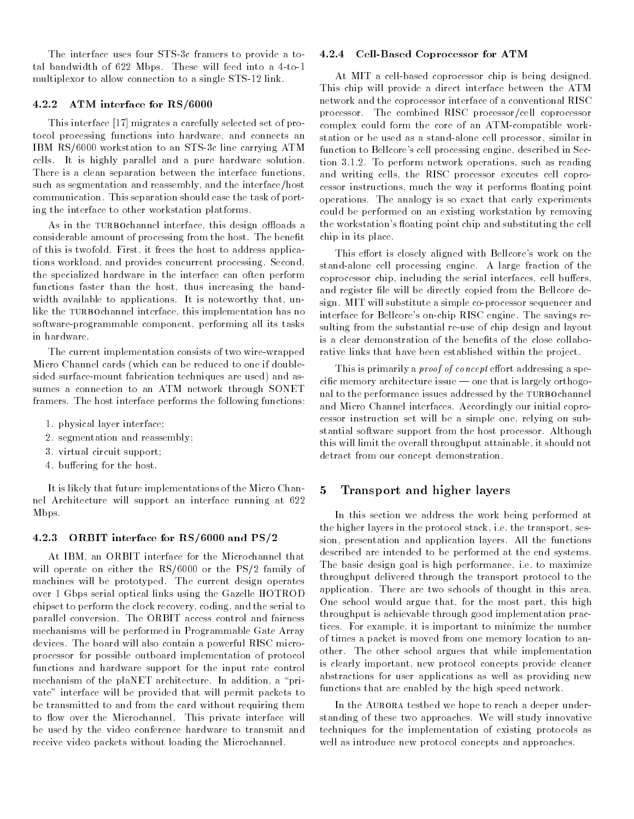The interface uses four STS-3c framers to provide a total bandwidth of 622 Mbps. These will feed into a 4-to-1 multiplexor to allow connection to a single STS-12 link.

#### 4.2.2 ATM interface for RS/6000

This interface [17] migrates a carefully selected set of protocol processing functions into hardware, and connects an IBM RS/6000 workstation to an STS-3c line carrying ATM cells. It is highly parallel and a pure hardware solution. There is a clean separation between the interface functions, such as segmentation and reassembly, and the interface/host communication. This separation should ease the task of porting the interface to other workstation platforms.

As in the TURBOchannel interface, this design offloads a considerable amount of processing from the host. The benefit of this is twofold. First, it frees the host to address applications workload, and provides concurrent processing. Second, the specialized hardware in the interface can often perform functions faster than the host, thus increasing the bandwidth available to applications. It is noteworthy that, unlike the TURBOchannel interface, this implementation has no software-programmable component, performing all its tasks in hardware.

The current implementation consists of two wire-wrapped Micro Channel cards (which can be reduced to one if doublesided surface-mount fabrication techniques are used) and assumes a connection to an ATM network through SONET framers. The host interface performs the following functions:

- 1. physical layer interface;
- 2. segmentation and reassembly;
- 3. virtual circuit support;
- 4. buffering for the host.

It is likely that future implementations of the Micro Channel Architecture will support an interface running at 622 Mbps.

#### 4.2.3 ORBIT interface for RS/6000 and PS/2

At IBM, an ORBIT interface for the Microchannel that will operate on either the RS/6000 or the PS/2 family of machines will be prototyped. The current design operates over 1 Gbps serial optical links using the Gazelle HOTROD chipset to perform the clock recovery, coding, and the serial to parallel conversion. The ORBIT access control and fairness mechanisms will be performed in Programmable Gate Array devices. The board will also contain a powerful RISC microprocessor for possible outboard implementation of protocol functions and hardware support for the input rate control mechanism of the plaNET architecture. In addition, a "private" interface will be provided that will permit packets to be transmitted to and from the card without requiring them to flow over the Microchannel. This private interface will be used by the video conference hardware to transmit and receive video packets without loading the Microchannel.

#### 4.2.4 Cell-Based Coprocessor for ATM

At MIT a cell-based coprocessor chip is being designed. This chip will provide a direct interface between the ATM network and the coprocessor interface of a conventional RISC processor. The combined RISC processor/cell coprocessor complex could form the core of an ATM-compatible workstation or be used as a stand-alone cell processor, similar in function to Bellcore's cell processing engine, described in Section 3.1.2. To perform network operations, such as reading and writing cells, the RISC processor executes cell coprocessor instructions, much the way it performs floating point operations. The analogy is so exact that early experiments could be performed on an existing workstation by removing the workstation's floating point chip and substituting the cell chip in its place.

This effort is closely aligned with Bellcore's work on the stand-alone cell processing engine. A large fraction of the coprocessor chip, including the serial interfaces, cell buffers, and register file will be directly copied from the Bellcore design. MIT will substitute a simple co-processor sequencer and interface for Bellcore's on-chip RISC engine. The savings resulting from the substantial re-use of chip design and layout is a clear demonstration of the benefits of the close collaborative links that have been established within the project.

This is primarily a *proof of concept* effort addressing a spe- $\chi$  cific memory architecture issue  $\sim$  one that is largely orthogonal to the performance issues addressed by the TURBOchannel and Micro Channel interfaces. Accordingly our initial coprocessor instruction set will be a simple one, relying on substantial software support from the host processor. Although this will limit the overall throughput attainable, it should not detract from our concept demonstration.

### 5 Transport and higher layers

In this section we address the work being performed at the higher layers in the protocol stack, i.e. the transport, session, presentation and application layers. All the functions described are intended to be performed at the end systems. The basic design goal is high performance, i.e. to maximize throughput delivered through the transport protocol to the application. There are two schools of thought in this area. One school would argue that, for the most part, this high throughput is achievable through good implementation practices. For example, it is important to minimize the number of times a packet is moved from one memory location to another. The other school argues that while implementation is clearly important, new protocol concepts provide cleaner abstractions for user applications as well as providing new functions that are enabled by the high speed network.

In the AURORA testbed we hope to reach a deeper understanding of these two approaches. We will study innovative techniques for the implementation of existing protocols as well as introduce new protocol concepts and approaches.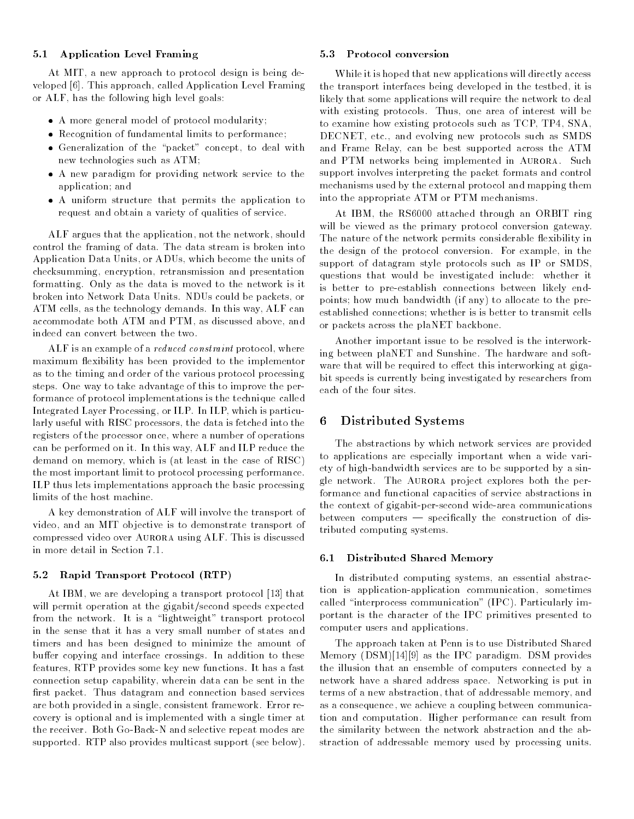#### 5.1 Application Level Framing

At MIT, a new approach to protocol design is being developed [6]. This approach, called Application Level Framing or ALF, has the following high level goals:

- A more general model of protocol modularity;
- Recognition of fundamental limits to performance;
- Generalization of the \packet" concept, to deal with new technologies such as ATM;
- A new paradigm for providing network service to the application; and
- A uniform structure that permits the application to request and obtain a variety of qualities of service.

ALF argues that the application, not the network, should control the framing of data. The data stream is broken into Application Data Units, or ADUs, which become the units of checksumming, encryption, retransmission and presentation formatting. Only as the data is moved to the network is it broken into Network Data Units. NDUs could be packets, or ATM cells, as the technology demands. In this way, ALF can accommodate both ATM and PTM, as discussed above, and indeed can convert between the two.

ALF is an example of a *reduced constraint* protocol, where maximum flexibility has been provided to the implementor as to the timing and order of the various protocol processing steps. One way to take advantage of this to improve the performance of protocol implementations is the technique called Integrated Layer Processing, or ILP. In ILP, which is particularly useful with RISC processors, the data is fetched into the registers of the processor once, where a number of operations can be performed on it. In this way, ALF and ILP reduce the demand on memory, which is (at least in the case of RISC) the most important limit to protocol processing performance. ILP thus lets implementations approach the basic processing limits of the host machine.

A key demonstration of ALF will involve the transport of video, and an MIT objective is to demonstrate transport of compressed video over Aurora using ALF. This is discussed in more detail in Section 7.1.

#### 5.2 Rapid Transport Protocol (RTP)

At IBM, we are developing a transport protocol [13] that will permit operation at the gigabit/second speeds expected from the network. It is a \lightweight" transport protocol in the sense that it has a very small number of states and timers and has been designed to minimize the amount of buffer copying and interface crossings. In addition to these features, RTP provides some key new functions. It has a fast connection setup capability, wherein data can be sent in the first packet. Thus datagram and connection based services are both provided in a single, consistent framework. Error recovery is optional and is implemented with a single timer at the receiver. Both Go-Back-N and selective repeat modes are supported. RTP also provides multicast support (see below).

#### 5.3 Protocol conversion

While it is hoped that new applications will directly access the transport interfaces being developed in the testbed, it is likely that some applications will require the network to deal with existing protocols. Thus, one area of interest will be to examine how existing protocols such as TCP, TP4, SNA, DECNET, etc., and evolving new protocols such as SMDS and Frame Relay, can be best supported across the ATM and PTM networks being implemented in AURORA. Such support involves interpreting the packet formats and control mechanisms used by the external protocol and mapping them into the appropriate ATM or PTM mechanisms.

At IBM, the RS6000 attached through an ORBIT ring will be viewed as the primary protocol conversion gateway. The nature of the network permits considerable flexibility in the design of the protocol conversion. For example, in the support of datagram style protocols such as IP or SMDS, questions that would be investigated include: whether it is better to pre-establish connections between likely endpoints; how much bandwidth (if any) to allocate to the preestablished connections; whether is is better to transmit cells or packets across the plaNET backbone.

Another important issue to be resolved is the interworking between plaNET and Sunshine. The hardware and software that will be required to effect this interworking at gigabit speeds is currently being investigated by researchers from each of the four sites.

## 6 Distributed Systems

The abstractions by which network services are provided to applications are especially important when a wide variety of high-bandwidth services are to be supported by a single network. The Aurora project explores both the performance and functional capacities of service abstractions in the context of gigabit-per-second wide-area communications  $b$  etween computers  $-$  specifically the construction of distributed computing systems.

#### 6.1 Distributed Shared Memory

In distributed computing systems, an essential abstraction is application-application communication, sometimes called "interprocess communication" (IPC). Particularly important is the character of the IPC primitives presented to computer users and applications.

The approach taken at Penn is to use Distributed Shared Memory (DSM)[14][9] as the IPC paradigm. DSM provides the illusion that an ensemble of computers connected by a network have a shared address space. Networking is put in terms of a new abstraction, that of addressable memory, and as a consequence, we achieve a coupling between communication and computation. Higher performance can result from the similarity between the network abstraction and the abstraction of addressable memory used by processing units.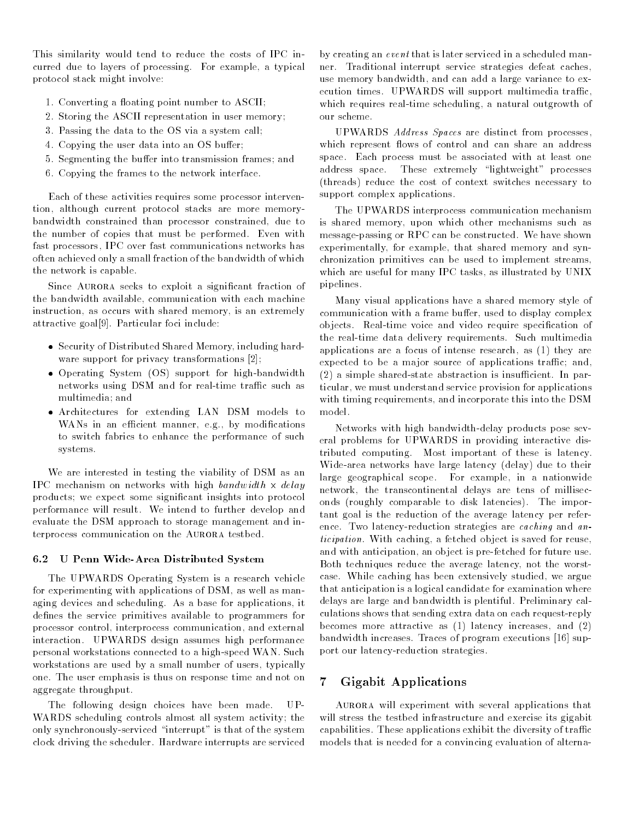This similarity would tend to reduce the costs of IPC incurred due to layers of processing. For example, a typical protocol stack might involve:

- 1. Converting a floating point number to ASCII;
- 2. Storing the ASCII representation in user memory;
- 3. Passing the data to the OS via a system call;
- 4. Copying the user data into an OS buffer;
- 5. Segmenting the buffer into transmission frames; and
- 6. Copying the frames to the network interface.

Each of these activities requires some processor intervention, although current protocol stacks are more memorybandwidth constrained than processor constrained, due to the number of copies that must be performed. Even with fast processors, IPC over fast communications networks has often achieved only a small fraction of the bandwidth of which the network is capable.

Since Aurora seeks to exploit a signicant fraction of the bandwidth available, communication with each machine instruction, as occurs with shared memory, is an extremely attractive goal[9]. Particular foci include:

- Security of Distributed Shared Memory, including hardware support for privacy transformations [2];
- Operating System (OS) support for high-bandwidth networks using DSM and for real-time traffic such as multimedia; and
- Architectures for extending LAN DSM models to WANs in an efficient manner, e.g., by modifications to switch fabrics to enhance the performance of such systems.

We are interested in testing the viability of DSM as an IPC mechanism on networks with high bandwidth  $\times$  delay products; we expect some signicant insights into protocol performance will result. We intend to further develop and evaluate the DSM approach to storage management and interprocess communication on the Aurora testbed.

#### 6.2 U Penn Wide-Area Distributed System

The UPWARDS Operating System is a research vehicle for experimenting with applications of DSM, as well as managing devices and scheduling. As a base for applications, it defines the service primitives available to programmers for processor control, interprocess communication, and external interaction. UPWARDS design assumes high performance personal workstations connected to a high-speed WAN. Such workstations are used by a small number of users, typically one. The user emphasis is thus on response time and not on aggregate throughput.

The following design choices have been made. UP-WARDS scheduling controls almost all system activity; the only synchronously-serviced \interrupt" is that of the system clock driving the scheduler. Hardware interrupts are serviced

by creating an event that is later serviced in a scheduled manner. Traditional interrupt service strategies defeat caches, use memory bandwidth, and can add a large variance to execution times. UPWARDS will support multimedia traffic, which requires real-time scheduling, a natural outgrowth of our scheme.

UPWARDS Address Spaces are distinct from processes, which represent flows of control and can share an address space. Each process must be associated with at least one address space. These extremely \lightweight" processes (threads) reduce the cost of context switches necessary to support complex applications.

The UPWARDS interprocess communication mechanism is shared memory, upon which other mechanisms such as message-passing or RPC can be constructed. We have shown experimentally, for example, that shared memory and synchronization primitives can be used to implement streams, which are useful for many IPC tasks, as illustrated by UNIX pipelines.

Many visual applications have a shared memory style of communication with a frame buffer, used to display complex objects. Real-time voice and video require specication of the real-time data delivery requirements. Such multimedia applications are a focus of intense research, as (1) they are expected to be a major source of applications traffic; and,  $(2)$  a simple shared-state abstraction is insufficient. In particular, we must understand service provision for applications with timing requirements, and incorporate this into the DSM model.

Networks with high bandwidth-delay products pose several problems for UPWARDS in providing interactive distributed computing. Most important of these is latency. Wide-area networks have large latency (delay) due to their large geographical scope. For example, in a nationwide network, the transcontinental delays are tens of milliseconds (roughly comparable to disk latencies). The important goal is the reduction of the average latency per reference. Two latency-reduction strategies are caching and anticipation. With caching, a fetched object is saved for reuse, and with anticipation, an object is pre-fetched for future use. Both techniques reduce the average latency, not the worstcase. While caching has been extensively studied, we argue that anticipation is a logical candidate for examination where delays are large and bandwidth is plentiful. Preliminary calculations shows that sending extra data on each request-reply becomes more attractive as (1) latency increases, and (2) bandwidth increases. Traces of program executions [16] support our latency-reduction strategies.

## 7 Gigabit Applications

Aurora will experiment with several applications that will stress the testbed infrastructure and exercise its gigabit capabilities. These applications exhibit the diversity of traffic models that is needed for a convincing evaluation of alterna-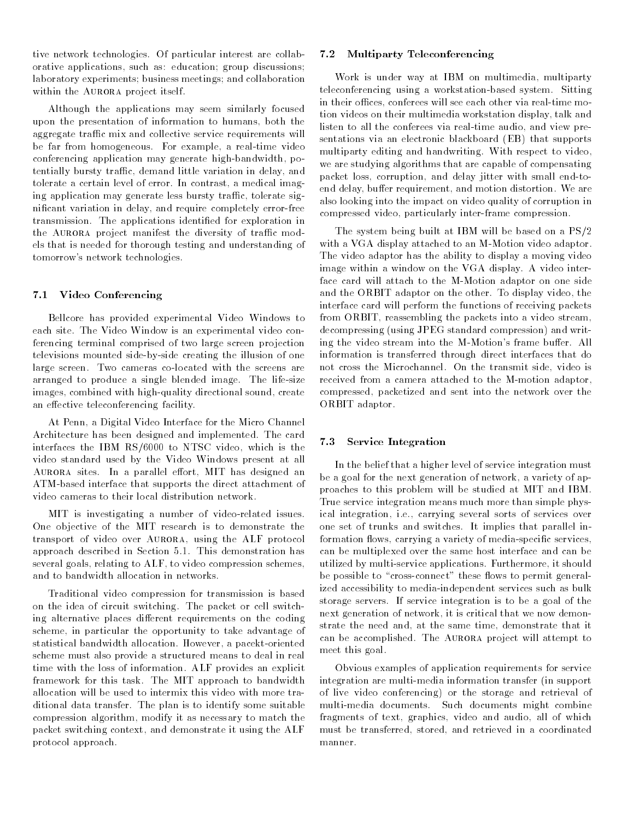tive network technologies. Of particular interest are collaborative applications, such as: education; group discussions; laboratory experiments; business meetings; and collaboration within the AURORA project itself.

Although the applications may seem similarly focused upon the presentation of information to humans, both the aggregate traffic mix and collective service requirements will be far from homogeneous. For example, a real-time video conferencing application may generate high-bandwidth, potentially bursty traffic, demand little variation in delay, and tolerate a certain level of error. In contrast, a medical imaging application may generate less bursty traffic, tolerate signicant variation in delay, and require completely error-free transmission. The applications identied for exploration in the AURORA project manifest the diversity of traffic models that is needed for thorough testing and understanding of tomorrow's network technologies.

### 7.1 Video Conferencing

Bellcore has provided experimental Video Windows to each site. The Video Window is an experimental video conferencing terminal comprised of two large screen projection televisions mounted side-by-side creating the illusion of one large screen. Two cameras co-located with the screens are arranged to produce a single blended image. The life-size images, combined with high-quality directional sound, create an effective teleconferencing facility.

At Penn, a Digital Video Interface for the Micro Channel Architecture has been designed and implemented. The card interfaces the IBM RS/6000 to NTSC video, which is the video standard used by the Video Windows present at all AURORA sites. In a parallel effort, MIT has designed an ATM-based interface that supports the direct attachment of video cameras to their local distribution network.

MIT is investigating a number of video-related issues. One objective of the MIT research is to demonstrate the transport of video over AURORA, using the ALF protocol approach described in Section 5.1. This demonstration has several goals, relating to ALF, to video compression schemes, and to bandwidth allocation in networks.

Traditional video compression for transmission is based on the idea of circuit switching. The packet or cell switching alternative places different requirements on the coding scheme, in particular the opportunity to take advantage of statistical bandwidth allocation. However, a pacekt-oriented scheme must also provide a structured means to deal in real time with the loss of information. ALF provides an explicit framework for this task. The MIT approach to bandwidth allocation will be used to intermix this video with more traditional data transfer. The plan is to identify some suitable compression algorithm, modify it as necessary to match the packet switching context, and demonstrate it using the ALF protocol approach.

#### 7.2 Multiparty Teleconferencing

Work is under way at IBM on multimedia, multiparty teleconferencing using a workstation-based system. Sitting in their offices, conferees will see each other via real-time motion videos on their multimedia workstation display, talk and listen to all the conferees via real-time audio, and view presentations via an electronic blackboard (EB) that supports multiparty editing and handwriting. With respect to video, we are studying algorithms that are capable of compensating packet loss, corruption, and delay jitter with small end-toend delay, buffer requirement, and motion distortion. We are also looking into the impact on video quality of corruption in compressed video, particularly inter-frame compression.

The system being built at IBM will be based on a PS/2 with a VGA display attached to an M-Motion video adaptor. The video adaptor has the ability to display a moving video image within a window on the VGA display. A video interface card will attach to the M-Motion adaptor on one side and the ORBIT adaptor on the other. To display video, the interface card will perform the functions of receiving packets from ORBIT, reassembling the packets into a video stream, decompressing (using JPEG standard compression) and writing the video stream into the M-Motion's frame buffer. All information is transferred through direct interfaces that do not cross the Microchannel. On the transmit side, video is received from a camera attached to the M-motion adaptor, compressed, packetized and sent into the network over the ORBIT adaptor.

#### 7.3 Service Integration

In the belief that a higher level of service integration must be a goal for the next generation of network, a variety of approaches to this problem will be studied at MIT and IBM. True service integration means much more than simple physical integration, i.e., carrying several sorts of services over one set of trunks and switches. It implies that parallel information flows, carrying a variety of media-specific services, can be multiplexed over the same host interface and can be utilized by multi-service applications. Furthermore, it should be possible to "cross-connect" these flows to permit generalized accessibility to media-independent services such as bulk storage servers. If service integration is to be a goal of the next generation of network, it is critical that we now demonstrate the need and, at the same time, demonstrate that it can be accomplished. The AURORA project will attempt to meet this goal.

Obvious examples of application requirements for service integration are multi-media information transfer (in support of live video conferencing) or the storage and retrieval of multi-media documents. Such documents might combine fragments of text, graphics, video and audio, all of which must be transferred, stored, and retrieved in a coordinated manner.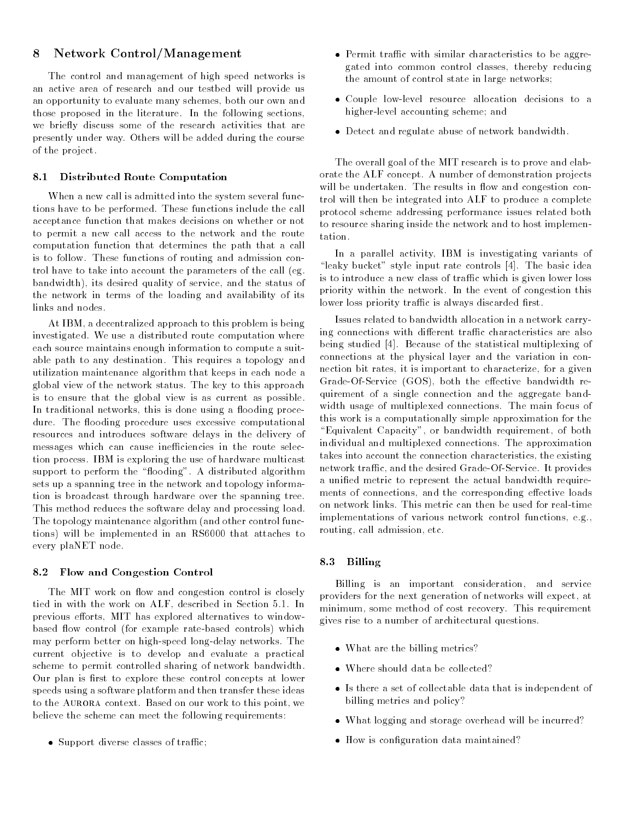## 8 Network Control/Management

The control and management of high speed networks is an active area of research and our testbed will provide us an opportunity to evaluate many schemes, both our own and those proposed in the literature. In the following sections, we briefly discuss some of the research activities that are presently under way. Others will be added during the course of the project.

### 8.1 Distributed Route Computation

When a new call is admitted into the system several functions have to be performed. These functions include the call acceptance function that makes decisions on whether or not to permit a new call access to the network and the route computation function that determines the path that a call is to follow. These functions of routing and admission control have to take into account the parameters of the call (eg. bandwidth), its desired quality of service, and the status of the network in terms of the loading and availability of its links and nodes.

At IBM, a decentralized approach to this problem is being investigated. We use a distributed route computation where each source maintains enough information to compute a suitable path to any destination. This requires a topology and utilization maintenance algorithm that keeps in each node a global view of the network status. The key to this approach is to ensure that the global view is as current as possible. In traditional networks, this is done using a flooding procedure. The flooding procedure uses excessive computational resources and introduces software delays in the delivery of messages which can cause inefficiencies in the route selection process. IBM is exploring the use of hardware multicast support to perform the "flooding". A distributed algorithm sets up a spanning tree in the network and topology information is broadcast through hardware over the spanning tree. This method reduces the software delay and processing load. The topology maintenance algorithm (and other control functions) will be implemented in an RS6000 that attaches to every plaNET node.

#### 8.2 Flow and Congestion Control

The MIT work on flow and congestion control is closely tied in with the work on ALF, described in Section 5.1. In previous efforts, MIT has explored alternatives to windowbased flow control (for example rate-based controls) which may perform better on high-speed long-delay networks. The current objective is to develop and evaluate a practical scheme to permit controlled sharing of network bandwidth. Our plan is first to explore these control concepts at lower speeds using a software platform and then transfer these ideas to the Aurora context. Based on our work to this point, we believe the scheme can meet the following requirements:

 $\bullet$  Support diverse classes of traffic;

- $\bullet$  Permit traffic with similar characteristics to be aggregated into common control classes, thereby reducing the amount of control state in large networks;
- Couple low-level resource allocation decisions to a higher-level accounting scheme; and
- Detect and regulate abuse of network bandwidth.

The overall goal of the MIT research is to prove and elaborate the ALF concept. A number of demonstration projects will be undertaken. The results in flow and congestion control will then be integrated into ALF to produce a complete protocol scheme addressing performance issues related both to resource sharing inside the network and to host implementation.

In a parallel activity, IBM is investigating variants of "leaky bucket" style input rate controls  $[4]$ . The basic idea is to introduce a new class of traffic which is given lower loss priority within the network. In the event of congestion this lower loss priority traffic is always discarded first.

Issues related to bandwidth allocation in a network carrying connections with different traffic characteristics are also being studied [4]. Because of the statistical multiplexing of connections at the physical layer and the variation in connection bit rates, it is important to characterize, for a given Grade-Of-Service (GOS), both the effective bandwidth requirement of a single connection and the aggregate bandwidth usage of multiplexed connections. The main focus of this work is a computationally simple approximation for the "Equivalent Capacity", or bandwidth requirement, of both individual and multiplexed connections. The approximation takes into account the connection characteristics, the existing network traffic, and the desired Grade-Of-Service. It provides a unified metric to represent the actual bandwidth requirements of connections, and the corresponding effective loads on network links. This metric can then be used for real-time implementations of various network control functions, e.g., routing, call admission, etc.

#### 8.3 Billing

Billing is an important consideration, and service providers for the next generation of networks will expect, at minimum, some method of cost recovery. This requirement gives rise to a number of architectural questions.

- What are the billing metrics?
- Where should data be collected?
- Is there a set of collectable data that is independent of billing metrics and policy?
- What logging and storage overhead will be incurred?
- How is configuration data maintained?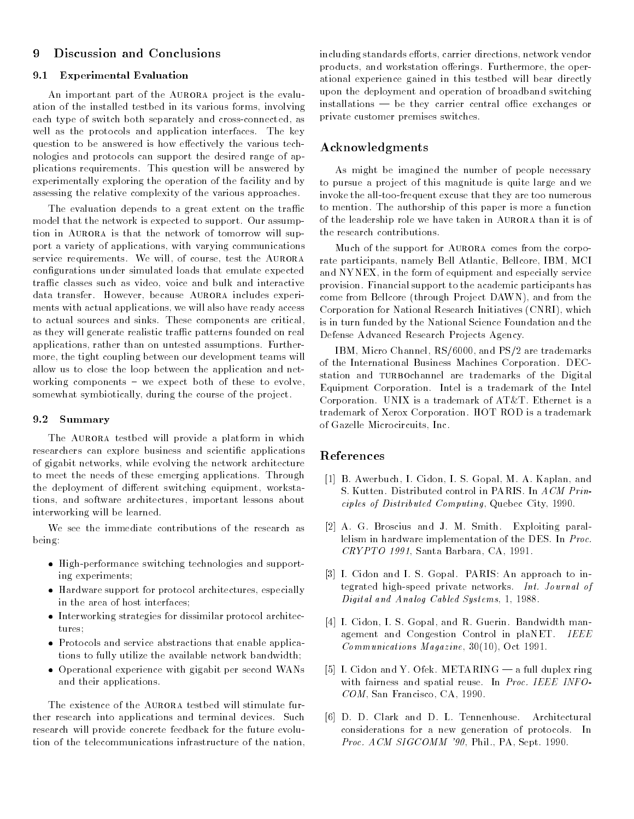## 9 Discussion and Conclusions

#### 9.1 Experimental Evaluation

An important part of the AURORA project is the evaluation of the installed testbed in its various forms, involving each type of switch both separately and cross-connected, as well as the protocols and application interfaces. The key question to be answered is how effectively the various technologies and protocols can support the desired range of applications requirements. This question will be answered by experimentally exploring the operation of the facility and by assessing the relative complexity of the various approaches.

The evaluation depends to a great extent on the traffic model that the network is expected to support. Our assumption in Aurora is that the network of tomorrow will support a variety of applications, with varying communications service requirements. We will, of course, test the AURORA congurations under simulated loads that emulate expected traffic classes such as video, voice and bulk and interactive data transfer. However, because AURORA includes experiments with actual applications, we will also have ready access to actual sources and sinks. These components are critical, as they will generate realistic traffic patterns founded on real applications, rather than on untested assumptions. Furthermore, the tight coupling between our development teams will allow us to close the loop between the application and networking components  $-$  we expect both of these to evolve, somewhat symbiotically, during the course of the project.

#### 9.2 Summary

The AURORA testbed will provide a platform in which researchers can explore business and scientific applications of gigabit networks, while evolving the network architecture to meet the needs of these emerging applications. Through the deployment of different switching equipment, workstations, and software architectures, important lessons about interworking will be learned.

We see the immediate contributions of the research as being:

- High-performance switching technologies and supporting experiments;
- Hardware support for protocol architectures, especially in the area of host interfaces;
- Interworking strategies for dissimilar protocol architectures;
- Protocols and service abstractions that enable applications to fully utilize the available network bandwidth;
- Operational experience with gigabit per second WANs and their applications.

The existence of the AURORA testbed will stimulate further research into applications and terminal devices. Such research will provide concrete feedback for the future evolution of the telecommunications infrastructure of the nation,

including standards efforts, carrier directions, network vendor products, and workstation offerings. Furthermore, the operational experience gained in this testbed will bear directly upon the deployment and operation of broadband switching  $initialations$  — be they carrier central office exchanges or private customer premises switches.

## Acknowledgments

As might be imagined the number of people necessary to pursue a project of this magnitude is quite large and we invoke the all-too-frequent excuse that they are too numerous to mention. The authorship of this paper is more a function of the leadership role we have taken in Aurora than it is of the research contributions.

Much of the support for AURORA comes from the corporate participants, namely Bell Atlantic, Bellcore, IBM, MCI and NYNEX, in the form of equipment and especially service provision. Financial support to the academic participants has come from Bellcore (through Project DAWN), and from the Corporation for National Research Initiatives (CNRI), which is in turn funded by the National Science Foundation and the Defense Advanced Research Projects Agency.

IBM, Micro Channel, RS/6000, and PS/2 are trademarks of the International Business Machines Corporation. DECstation and TURBOchannel are trademarks of the Digital Equipment Corporation. Intel is a trademark of the Intel Corporation. UNIX is a trademark of AT&T. Ethernet is a trademark of Xerox Corporation. HOT ROD is a trademark of Gazelle Microcircuits, Inc.

### References

- [1] B. Awerbuch, I. Cidon, I. S. Gopal, M. A. Kaplan, and S. Kutten. Distributed control in PARIS. In ACM Principles of Distributed Computing, Quebec City, 1990.
- [2] A. G. Broscius and J. M. Smith. Exploiting parallelism in hardware implementation of the DES. In Proc. CRYPTO 1991, Santa Barbara, CA, 1991.
- [3] I. Cidon and I. S. Gopal. PARIS: An approach to integrated high-speed private networks. Int. Journal of Digital and Analog Cabled Systems, 1, 1988.
- [4] I. Cidon, I. S. Gopal, and R. Guerin. Bandwidth management and Congestion Control in plaNET. IEEE Communications Magazine, 30(10), Oct 1991.
- [5] I. Cidon and Y. Ofek. METARING  $-$  a full duplex ring with fairness and spatial reuse. In Proc. IEEE INFO-COM, San Francisco, CA, 1990.
- [6] D. D. Clark and D. L. Tennenhouse. Architectural considerations for a new generation of protocols. In Proc. ACM SIGCOMM '90, Phil., PA, Sept. 1990.